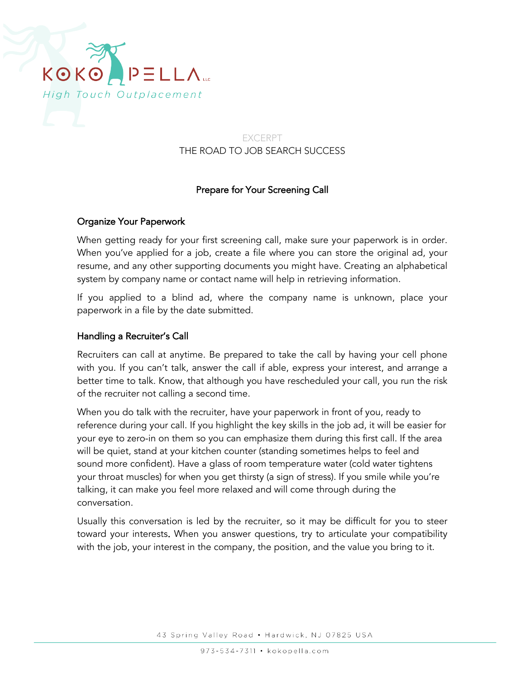

## EXCERPT THE ROAD TO JOB SEARCH SUCCESS

# Prepare for Your Screening Call

### Organize Your Paperwork

When getting ready for your first screening call, make sure your paperwork is in order. When you've applied for a job, create a file where you can store the original ad, your resume, and any other supporting documents you might have. Creating an alphabetical system by company name or contact name will help in retrieving information.

If you applied to a blind ad, where the company name is unknown, place your paperwork in a file by the date submitted.

### Handling a Recruiter's Call

Recruiters can call at anytime. Be prepared to take the call by having your cell phone with you. If you can't talk, answer the call if able, express your interest, and arrange a better time to talk. Know, that although you have rescheduled your call, you run the risk of the recruiter not calling a second time.

When you do talk with the recruiter, have your paperwork in front of you, ready to reference during your call. If you highlight the key skills in the job ad, it will be easier for your eye to zero-in on them so you can emphasize them during this first call. If the area will be quiet, stand at your kitchen counter (standing sometimes helps to feel and sound more confident). Have a glass of room temperature water (cold water tightens your throat muscles) for when you get thirsty (a sign of stress). If you smile while you're talking, it can make you feel more relaxed and will come through during the conversation.

Usually this conversation is led by the recruiter, so it may be difficult for you to steer toward your interests. When you answer questions, try to articulate your compatibility with the job, your interest in the company, the position, and the value you bring to it.

43 Spring Valley Road . Hardwick, NJ 07825 USA